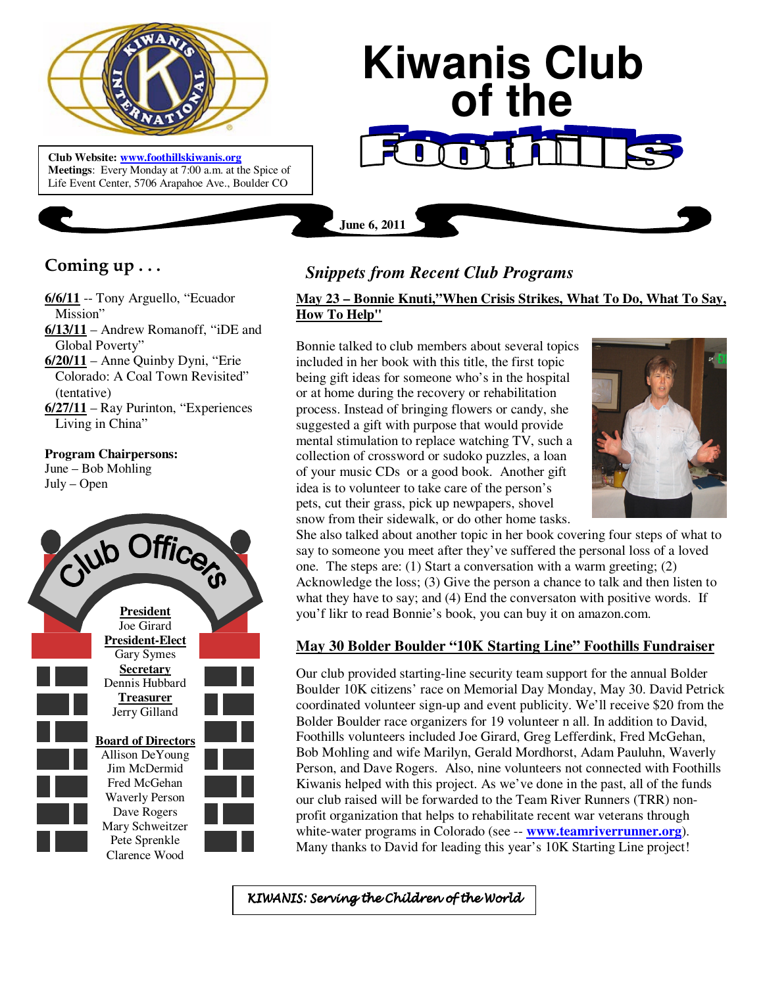

**Meetings**: Every Monday at 7:00 a.m. at the Spice of Life Event Center, 5706 Arapahoe Ave., Boulder CO

# **Coming up . . .**

- **6/6/11** -- Tony Arguello, "Ecuador Mission"
- **6/13/11** Andrew Romanoff, "iDE and Global Poverty"
- **6/20/11** Anne Quinby Dyni, "Erie Colorado: A Coal Town Revisited" (tentative)
- **6/27/11** Ray Purinton, "Experiences Living in China"

### **Program Chairpersons:**

June – Bob Mohling July – Open



# *Snippets from Recent Club Programs*

**June 6, 2011**

## **May 23 – Bonnie Knuti,"When Crisis Strikes, What To Do, What To Say, How To Help"**

**Kiwanis Club** 

 **of the**

Bonnie talked to club members about several topics included in her book with this title, the first topic being gift ideas for someone who's in the hospital or at home during the recovery or rehabilitation process. Instead of bringing flowers or candy, she suggested a gift with purpose that would provide mental stimulation to replace watching TV, such a collection of crossword or sudoko puzzles, a loan of your music CDs or a good book. Another gift idea is to volunteer to take care of the person's pets, cut their grass, pick up newpapers, shovel snow from their sidewalk, or do other home tasks.



She also talked about another topic in her book covering four steps of what to say to someone you meet after they've suffered the personal loss of a loved one. The steps are: (1) Start a conversation with a warm greeting; (2) Acknowledge the loss; (3) Give the person a chance to talk and then listen to what they have to say; and (4) End the conversaton with positive words. If you'f likr to read Bonnie's book, you can buy it on amazon.com.

## **May 30 Bolder Boulder "10K Starting Line" Foothills Fundraiser**

Our club provided starting-line security team support for the annual Bolder Boulder 10K citizens' race on Memorial Day Monday, May 30. David Petrick coordinated volunteer sign-up and event publicity. We'll receive \$20 from the Bolder Boulder race organizers for 19 volunteer n all. In addition to David, Foothills volunteers included Joe Girard, Greg Lefferdink, Fred McGehan, Bob Mohling and wife Marilyn, Gerald Mordhorst, Adam Pauluhn, Waverly Person, and Dave Rogers. Also, nine volunteers not connected with Foothills Kiwanis helped with this project. As we've done in the past, all of the funds our club raised will be forwarded to the Team River Runners (TRR) nonprofit organization that helps to rehabilitate recent war veterans through white-water programs in Colorado (see -- **www.teamriverrunner.org**). Many thanks to David for leading this year's 10K Starting Line project!

KIWANIS: Serving the Children of the World